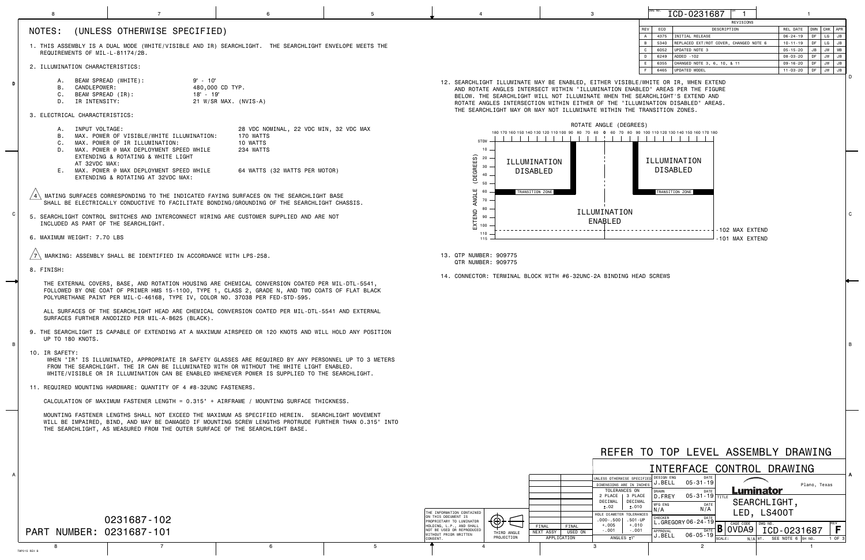C

B



|                                                                   |                                                                                                                                                                                                                                                                                                                      |                                                                                                                                                                                                                                                                                                                                                                                        |                                                                                                               | -5 |                                                                                                                                                                                                                                          | $\mathbf{3}$                                                                                                                                                         | ICD-0231687                                                                                                       |                                                                                               |  |
|-------------------------------------------------------------------|----------------------------------------------------------------------------------------------------------------------------------------------------------------------------------------------------------------------------------------------------------------------------------------------------------------------|----------------------------------------------------------------------------------------------------------------------------------------------------------------------------------------------------------------------------------------------------------------------------------------------------------------------------------------------------------------------------------------|---------------------------------------------------------------------------------------------------------------|----|------------------------------------------------------------------------------------------------------------------------------------------------------------------------------------------------------------------------------------------|----------------------------------------------------------------------------------------------------------------------------------------------------------------------|-------------------------------------------------------------------------------------------------------------------|-----------------------------------------------------------------------------------------------|--|
|                                                                   | NOTES:                                                                                                                                                                                                                                                                                                               | (UNLESS OTHERWISE SPECIFIED)<br>1. THIS ASSEMBLY IS A DUAL MODE (WHITE/VISIBLE AND IR) SEARCHLIGHT. THE SEARCHLIGHT ENVELOPE MEETS THE                                                                                                                                                                                                                                                 |                                                                                                               |    |                                                                                                                                                                                                                                          |                                                                                                                                                                      | REVISIONS<br>REV<br>ECO<br>DESCRIPTION<br>4375   INITIAL RELEASE<br>5340   REPLACED EXT/ROT COVER, CHANGED NOTE 6 | REL DATE   DWN   CHK   APR<br>$06 - 24 - 19$   DF   LG   JB<br>10-11-19   DF   LG   JB        |  |
|                                                                   | REQUIREMENTS OF MIL-L-81174/2B.<br>2. ILLUMINATION CHARACTERISTICS:                                                                                                                                                                                                                                                  |                                                                                                                                                                                                                                                                                                                                                                                        |                                                                                                               |    |                                                                                                                                                                                                                                          |                                                                                                                                                                      | 6052 UPDATED NOTE 3<br>6249 ADDED -102<br>6355 CHANGED NOTE 3, 6, 10, & 11                                        | $05 - 15 - 20$   JB   JW   WB<br>08-03-20   DF   JW   JB<br>09-16-20   DF   JW   JB           |  |
|                                                                   | BEAM SPREAD (WHITE):<br>А.<br>CANDLEPOWER:<br>В.                                                                                                                                                                                                                                                                     | $9^\circ$ - 10 $^\circ$                                                                                                                                                                                                                                                                                                                                                                | 480,000 CD TYP.                                                                                               |    |                                                                                                                                                                                                                                          | 12. SEARCHLIGHT ILLUMINATE MAY BE ENABLED, EITHER VISIBLE/WHITE OR IR, WHEN EXTEND<br>AND ROTATE ANGLES INTERSECT WITHIN "ILLUMINATION ENABLED" AREAS PER THE FIGURE | 6465   UPDATED MODEL                                                                                              | 11-03-20   DF   JW   JB                                                                       |  |
|                                                                   | C. BEAM SPREAD (IR):<br>$18° - 19°$<br>D. IR INTENSITY:<br>21 W/SR MAX. (NVIS-A)<br>3. ELECTRICAL CHARACTERISTICS:                                                                                                                                                                                                   |                                                                                                                                                                                                                                                                                                                                                                                        |                                                                                                               |    | BELOW. THE SEARCHLIGHT WILL NOT ILLUMINATE WHEN THE SEARCHLIGHT'S EXTEND AND<br>ROTATE ANGLES INTERSECTION WITHIN EITHER OF THE "ILLUMINATION DISABLED" AREAS.<br>THE SEARCHLIGHT MAY OR MAY NOT ILLUMINATE WITHIN THE TRANSITION ZONES. |                                                                                                                                                                      |                                                                                                                   |                                                                                               |  |
|                                                                   | A. INPUT VOLTAGE:<br>D.<br>AT 32VDC MAX:                                                                                                                                                                                                                                                                             | MAX. POWER OF VISIBLE/WHITE ILLUMINATION:<br>MAX. POWER OF IR ILLUMINATION:<br>MAX. POWER @ MAX DEPLOYMENT SPEED WHILE<br>EXTENDING & ROTATING & WHITE LIGHT<br>E. MAX. POWER @ MAX DEPLOYMENT SPEED WHILE<br>EXTENDING & ROTATING AT 32VDC MAX:                                                                                                                                       | 28 VDC NOMINAL, 22 VDC MIN, 32 VDC MAX<br>170 WATTS<br>10 WATTS<br>234 WATTS<br>64 WATTS (32 WATTS PER MOTOR) |    | $10 -$<br>DEGREES)<br>20<br>ILLUMINATION<br>$30 -$<br><b>DISABLED</b><br>40                                                                                                                                                              | ROTATE ANGLE (DEGREES)<br>180 170 160 150 140 130 120 110 100 90 80 70 60                                                                                            | 60 70 80 90 100 110 120 130 140 150 160 170 180<br>ILLUMINATION<br><b>DISABLED</b>                                |                                                                                               |  |
|                                                                   |                                                                                                                                                                                                                                                                                                                      | MATING SURFACES CORRESPONDING TO THE INDICATED FAYING SURFACES ON THE SEARCHLIGHT BASE<br>SHALL BE ELECTRICALLY CONDUCTIVE TO FACILITATE BONDING/GROUNDING OF THE SEARCHLIGHT CHASSIS.                                                                                                                                                                                                 |                                                                                                               |    | TRANSITION ZONE<br>ANGL<br>70<br>80                                                                                                                                                                                                      |                                                                                                                                                                      | TRANSITION ZONE                                                                                                   |                                                                                               |  |
|                                                                   | INCLUDED AS PART OF THE SEARCHLIGHT.                                                                                                                                                                                                                                                                                 | 5. SEARCHLIGHT CONTROL SWITCHES AND INTERCONNECT WIRING ARE CUSTOMER SUPPLIED AND ARE NOT                                                                                                                                                                                                                                                                                              |                                                                                                               |    | ΞND<br>90<br>$\overline{\Sigma}$ 100<br>110                                                                                                                                                                                              | ILLUMINATION<br><b>ENABLED</b>                                                                                                                                       | -102 MAX EXTEND                                                                                                   |                                                                                               |  |
|                                                                   | 6. MAXIMUM WEIGHT: 7.70 LBS                                                                                                                                                                                                                                                                                          | MARKING: ASSEMBLY SHALL BE IDENTIFIED IN ACCORDANCE WITH LPS-258.                                                                                                                                                                                                                                                                                                                      |                                                                                                               |    | 115<br>13. QTP NUMBER: 909775                                                                                                                                                                                                            |                                                                                                                                                                      | -101 MAX EXTEND                                                                                                   |                                                                                               |  |
|                                                                   | 8. FINISH:                                                                                                                                                                                                                                                                                                           |                                                                                                                                                                                                                                                                                                                                                                                        |                                                                                                               |    | QTR NUMBER: 909775                                                                                                                                                                                                                       | 14. CONNECTOR: TERMINAL BLOCK WITH #6-32UNC-2A BINDING HEAD SCREWS                                                                                                   |                                                                                                                   |                                                                                               |  |
|                                                                   | THE EXTERNAL COVERS, BASE, AND ROTATION HOUSING ARE CHEMICAL CONVERSION COATED PER MIL-DTL-5541,<br>FOLLOWED BY ONE COAT OF PRIMER HMS 15-1100, TYPE 1, CLASS 2, GRADE N, AND TWO COATS OF FLAT BLACK<br>POLYURETHANE PAINT PER MIL-C-46168, TYPE IV, COLOR NO. 37038 PER FED-STD-595.                               |                                                                                                                                                                                                                                                                                                                                                                                        |                                                                                                               |    |                                                                                                                                                                                                                                          |                                                                                                                                                                      |                                                                                                                   |                                                                                               |  |
|                                                                   | ALL SURFACES OF THE SEARCHLIGHT HEAD ARE CHEMICAL CONVERSION COATED PER MIL-DTL-5541 AND EXTERNAL<br>SURFACES FURTHER ANODIZED PER MIL-A-8625 (BLACK)                                                                                                                                                                |                                                                                                                                                                                                                                                                                                                                                                                        |                                                                                                               |    |                                                                                                                                                                                                                                          |                                                                                                                                                                      |                                                                                                                   |                                                                                               |  |
| $\overline{B}$                                                    | 9. THE SEARCHLIGHT IS CAPABLE OF EXTENDING AT A MAXIMUM AIRSPEED OR 120 KNOTS AND WILL HOLD ANY POSITION<br>UP TO 180 KNOTS.                                                                                                                                                                                         |                                                                                                                                                                                                                                                                                                                                                                                        |                                                                                                               |    |                                                                                                                                                                                                                                          |                                                                                                                                                                      |                                                                                                                   |                                                                                               |  |
|                                                                   | 10. IR SAFETY:<br>WHEN "IR" IS ILLUMINATED, APPROPRIATE IR SAFETY GLASSES ARE REQUIRED BY ANY PERSONNEL UP TO 3 METERS<br>FROM THE SEARCHLIGHT. THE IR CAN BE ILLUMINATED WITH OR WITHOUT THE WHITE LIGHT ENABLED.<br>WHITE/VISIBLE OR IR ILLUMINATION CAN BE ENABLED WHENEVER POWER IS SUPPLIED TO THE SEARCHLIGHT. |                                                                                                                                                                                                                                                                                                                                                                                        |                                                                                                               |    |                                                                                                                                                                                                                                          |                                                                                                                                                                      |                                                                                                                   |                                                                                               |  |
| 11. REQUIRED MOUNTING HARDWARE: QUANTITY OF 4 #8-32UNC FASTENERS. |                                                                                                                                                                                                                                                                                                                      |                                                                                                                                                                                                                                                                                                                                                                                        |                                                                                                               |    |                                                                                                                                                                                                                                          |                                                                                                                                                                      |                                                                                                                   |                                                                                               |  |
|                                                                   |                                                                                                                                                                                                                                                                                                                      | CALCULATION OF MAXIMUM FASTENER LENGTH = 0.315" + AIRFRAME / MOUNTING SURFACE THICKNESS.<br>MOUNTING FASTENER LENGTHS SHALL NOT EXCEED THE MAXIMUM AS SPECIFIED HEREIN. SEARCHLIGHT MOVEMENT<br>WILL BE IMPAIRED, BIND, AND MAY BE DAMAGED IF MOUNTING SCREW LENGTHS PROTRUDE FURTHER THAN 0.315" INTO<br>THE SEARCHLIGHT, AS MEASURED FROM THE OUTER SURFACE OF THE SEARCHLIGHT BASE. |                                                                                                               |    |                                                                                                                                                                                                                                          |                                                                                                                                                                      |                                                                                                                   |                                                                                               |  |
|                                                                   |                                                                                                                                                                                                                                                                                                                      |                                                                                                                                                                                                                                                                                                                                                                                        |                                                                                                               |    |                                                                                                                                                                                                                                          |                                                                                                                                                                      | REFER TO TOP LEVEL ASSEMBLY DRAWING                                                                               |                                                                                               |  |
|                                                                   |                                                                                                                                                                                                                                                                                                                      |                                                                                                                                                                                                                                                                                                                                                                                        |                                                                                                               |    |                                                                                                                                                                                                                                          |                                                                                                                                                                      | INTERFACE CONTROL DRAWING                                                                                         |                                                                                               |  |
|                                                                   |                                                                                                                                                                                                                                                                                                                      |                                                                                                                                                                                                                                                                                                                                                                                        |                                                                                                               |    |                                                                                                                                                                                                                                          | <b>INLESS OTHERWISE SPECIFIE</b><br>DIMENSIONS ARE IN INCHE<br>TOLERANCES ON                                                                                         | DESIGN ENG<br>$05 - 31 - 19$<br>J.BELL<br>DATE<br><b>DRAWN</b>                                                    | Plano, Texas<br>Luminator                                                                     |  |
|                                                                   |                                                                                                                                                                                                                                                                                                                      | 0231687-102                                                                                                                                                                                                                                                                                                                                                                            |                                                                                                               |    | THE INFORMATION CONTAINED<br>ON THIS DOCUMENT IS<br>$\{\oplus\}$                                                                                                                                                                         | 2 PLACE   3 PLACE<br>DECIMAL   DECIMAL<br>±.02<br>±.010<br>HOLE DIAMETER TOLERANCES<br>.000 - .500   .501 - UP                                                       | D. FREY 05-31-19 TITLE<br>DATE<br>MFG ENG<br>N/A<br>۱/A<br>DATE<br>CHECKER                                        | SEARCHLIGHT,<br>LED, LS400T                                                                   |  |
|                                                                   | PART NUMBER: 0231687-101                                                                                                                                                                                                                                                                                             |                                                                                                                                                                                                                                                                                                                                                                                        |                                                                                                               |    | PROPRIETARY TO LUMINATOR<br>HOLDING, L.P., AND SHALL<br>NOT BE USED OR REPRODUCED<br>THIRD ANGLE<br>WITHOUT PRIOR WRITTEN<br>PROJECTION<br>CONSENT.                                                                                      | $+.010$<br>$+.005$<br>FINAL<br>FINAL<br>$-.001$<br>$-.001$<br>NEXT ASSY USED ON<br>ANGLES ±1°<br>APPLICATION                                                         | $-$ . GREGORY 06 - 24 - 19 $\vdash$<br>CAGE CODE DWG NO.<br>APPROVAL<br>06-05-19┣<br>J.BELL<br>SCALE:             | $\sqrt{10ATE}$ <b>B</b>   0VDA9   ICD - 0231687  <br>F.<br>$N/A$ WT. SEE NOTE 6 SH NO. 1 OF 3 |  |
|                                                                   | 8<br>TMP015 REV B                                                                                                                                                                                                                                                                                                    | $\overline{7}$                                                                                                                                                                                                                                                                                                                                                                         | - 6                                                                                                           | -5 |                                                                                                                                                                                                                                          | -3                                                                                                                                                                   | $\overline{2}$                                                                                                    |                                                                                               |  |

D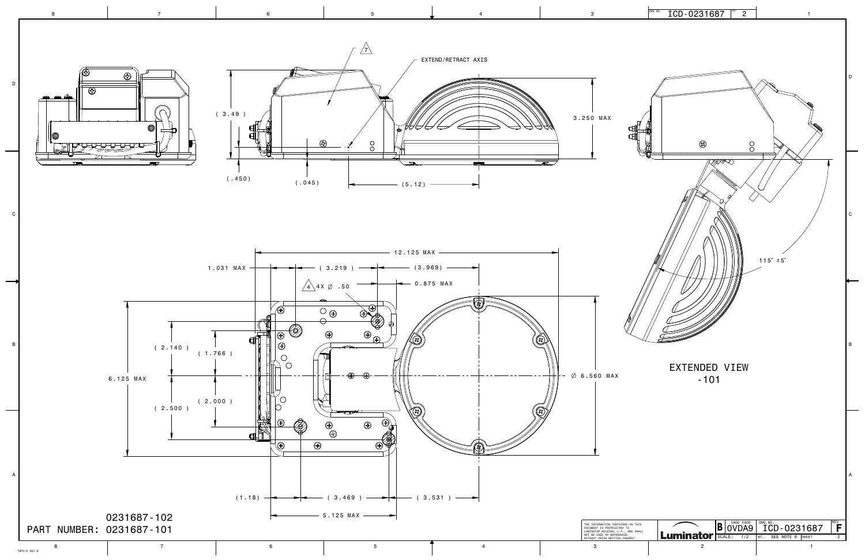